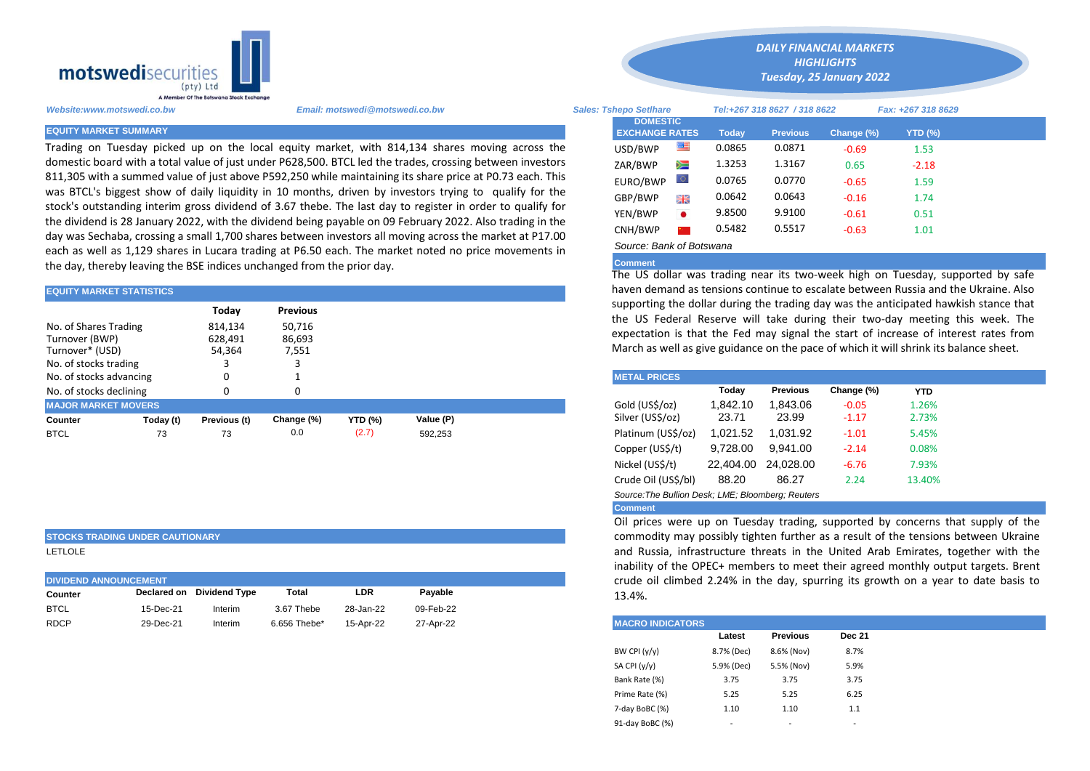

Trading on Tuesday picked up on the local equity market, with 814,134 shares moving across the domestic board with a total value of just under P628,500. BTCL led the trades, crossing between investors 811,305 with a summed value of just above P592,250 while maintaining its share price at P0.73 each. This was BTCL's biggest show of daily liquidity in 10 months, driven by investors trying to qualify for the stock's outstanding interim gross dividend of 3.67 thebe. The last day to register in order to qualify for the dividend is 28 January 2022, with the dividend being payable on 09 February 2022. Also trading in the day was Sechaba, crossing a small 1,700 shares between investors all moving across the market at P17.00 each as well as 1,129 shares in Lucara trading at P6.50 each. The market noted no price movements in the day, thereby leaving the BSE indices unchanged from the prior day.

| <b>EQUITY MARKET STATISTICS</b>                                                     |           |                              |                           |                | haven demand as tensions continue to escalate between Russia and th |  |                                                                                                                                                    |          |          |            |            |  |  |  |
|-------------------------------------------------------------------------------------|-----------|------------------------------|---------------------------|----------------|---------------------------------------------------------------------|--|----------------------------------------------------------------------------------------------------------------------------------------------------|----------|----------|------------|------------|--|--|--|
|                                                                                     |           | Today                        | <b>Previous</b>           |                |                                                                     |  | supporting the dollar during the trading day was the anticipated hawk<br>the US Federal Reserve will take during their two-day meeting t           |          |          |            |            |  |  |  |
| No. of Shares Trading<br>Turnover (BWP)<br>Turnover* (USD)<br>No. of stocks trading |           | 814,134<br>628,491<br>54,364 | 50.716<br>86,693<br>7,551 |                |                                                                     |  | expectation is that the Fed may signal the start of increase of inter<br>March as well as give guidance on the pace of which it will shrink its ba |          |          |            |            |  |  |  |
| No. of stocks advancing                                                             |           |                              |                           |                |                                                                     |  | <b>METAL PRICES</b>                                                                                                                                |          |          |            |            |  |  |  |
| No. of stocks declining                                                             |           |                              | 0                         |                |                                                                     |  |                                                                                                                                                    | Todav    | Previous | Change (%) | <b>YTD</b> |  |  |  |
| <b>MAJOR MARKET MOVERS</b>                                                          |           |                              |                           |                |                                                                     |  | Gold (US\$/oz)                                                                                                                                     | 1.842.10 | 1.843.06 | $-0.05$    | 1.26%      |  |  |  |
| Counter                                                                             | Today (t) | Previous (t)                 | Change (%)                | <b>YTD (%)</b> | Value (P)                                                           |  | Silver (US\$/oz)                                                                                                                                   | 23.71    | 23.99    | $-1.17$    | 2.73%      |  |  |  |
| <b>BTCL</b>                                                                         | 73        | 73                           | 0.0                       | (2.7)          | 592.253                                                             |  | Platinum (US\$/oz)                                                                                                                                 | 1,021.52 | 1,031.92 | $-1.01$    | 5.45%      |  |  |  |

## **STOCKS TRADING UNDER CAUTIONARY**

LETLOLE

| <b>DIVIDEND ANNOUNCEMENT</b> | crude oil climbed |                           |              |           |           |                         |
|------------------------------|-------------------|---------------------------|--------------|-----------|-----------|-------------------------|
| Counter                      |                   | Declared on Dividend Type | Total        | LDR       | Pavable   | 13.4%.                  |
| <b>BTCL</b>                  | 15-Dec-21         | Interim                   | 3.67 Thebe   | 28-Jan-22 | 09-Feb-22 |                         |
| <b>RDCP</b>                  | 29-Dec-21         | Interim                   | 6.656 Thebe* | 15-Apr-22 | 27-Apr-22 | <b>MACRO INDICATORS</b> |

*Website:www.motswedi.co.bw Email: motswedi@motswedi.co.bw Sales: Tshepo Setlhare Tel:+267 318 8627 / 318 8622 Fax: +267 318 8629*  **EQUITY MARKET SUMMARY Today Previous Change (%) YTD (%)**  $USD/BWP$   $\overline{3}$  0.0865 0.0871 -0.69 1.53 ZAR/BWP 2 1.3253 1.3167 0.65 -2.18 EURO/BWP 0.0765 0.0770 -0.65 1.59 GBP/BWP **EXAMP** 0.0642 0.0643 -0.16 1.74 YEN/BWP 9.8500 9.9100 -0.61 0.51 CNH/BWP 2 0.5482 0.5517 -0.63 1.01 *Source: Bank of Botswana*  **DOMESTIC EXCHANGE RATES**

*DAILY FINANCIAL MARKETS HIGHLIGHTS Tuesday, 25 January 2022*

## **Comment**

The US dollar was trading near its two-week high on Tuesday, supported by safe haven demand as tensions continue to escalate between Russia and the Ukraine. Also supporting the dollar during the trading day was the anticipated hawkish stance that the US Federal Reserve will take during their two-day meeting this week. The expectation is that the Fed may signal the start of increase of interest rates from March as well as give guidance on the pace of which it will shrink its balance sheet.

| <b>METAL PRICES</b>                               |           |                 |            |            |  |  |  |  |  |  |
|---------------------------------------------------|-----------|-----------------|------------|------------|--|--|--|--|--|--|
|                                                   | Today     | <b>Previous</b> | Change (%) | <b>YTD</b> |  |  |  |  |  |  |
| Gold (US\$/oz)                                    | 1,842.10  | 1,843.06        | $-0.05$    | 1.26%      |  |  |  |  |  |  |
| Silver (US\$/oz)                                  | 23.71     | 23.99           | $-1.17$    | 2.73%      |  |  |  |  |  |  |
| Platinum (US\$/oz)                                | 1,021.52  | 1,031.92        | $-1.01$    | 5.45%      |  |  |  |  |  |  |
| Copper (US\$/t)                                   | 9,728.00  | 9.941.00        | $-2.14$    | 0.08%      |  |  |  |  |  |  |
| Nickel (US\$/t)                                   | 22,404.00 | 24.028.00       | $-6.76$    | 7.93%      |  |  |  |  |  |  |
| Crude Oil (US\$/bl)                               | 88.20     | 86.27           | 2.24       | 13.40%     |  |  |  |  |  |  |
| Source: The Bullion Desk; LME; Bloomberg; Reuters |           |                 |            |            |  |  |  |  |  |  |

## **Comment**

Oil prices were up on Tuesday trading, supported by concerns that supply of the commodity may possibly tighten further as a result of the tensions between Ukraine and Russia, infrastructure threats in the United Arab Emirates, together with the inability of the OPEC+ members to meet their agreed monthly output targets. Brent crude oil climbed 2.24% in the day, spurring its growth on a year to date basis to 13.4%.

| <b>MACRO INDICATORS</b> |            |                 |               |  |  |  |  |  |  |
|-------------------------|------------|-----------------|---------------|--|--|--|--|--|--|
|                         | Latest     | <b>Previous</b> | <b>Dec 21</b> |  |  |  |  |  |  |
| BW CPI $(y/y)$          | 8.7% (Dec) | 8.6% (Nov)      | 8.7%          |  |  |  |  |  |  |
| SA CPI (y/y)            | 5.9% (Dec) | 5.5% (Nov)      | 5.9%          |  |  |  |  |  |  |
| Bank Rate (%)           | 3.75       | 3.75            | 3.75          |  |  |  |  |  |  |
| Prime Rate (%)          | 5.25       | 5.25            | 6.25          |  |  |  |  |  |  |
| 7-day BoBC (%)          | 1.10       | 1.10            | 1.1           |  |  |  |  |  |  |
| 91-day BoBC (%)         | ۰          | ٠               | ۰             |  |  |  |  |  |  |